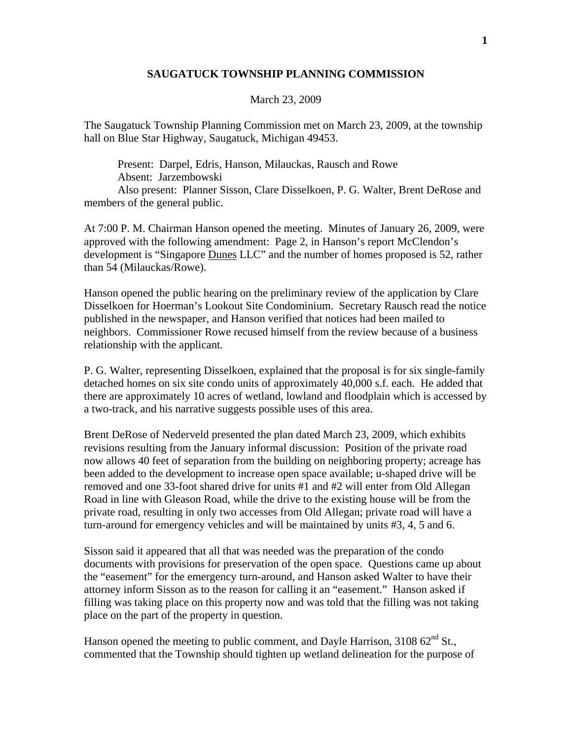## **SAUGATUCK TOWNSHIP PLANNING COMMISSION**

## March 23, 2009

The Saugatuck Township Planning Commission met on March 23, 2009, at the township hall on Blue Star Highway, Saugatuck, Michigan 49453.

 Present: Darpel, Edris, Hanson, Milauckas, Rausch and Rowe Absent: Jarzembowski

 Also present: Planner Sisson, Clare Disselkoen, P. G. Walter, Brent DeRose and members of the general public.

At 7:00 P. M. Chairman Hanson opened the meeting. Minutes of January 26, 2009, were approved with the following amendment: Page 2, in Hanson's report McClendon's development is "Singapore Dunes LLC" and the number of homes proposed is 52, rather than 54 (Milauckas/Rowe).

Hanson opened the public hearing on the preliminary review of the application by Clare Disselkoen for Hoerman's Lookout Site Condominium. Secretary Rausch read the notice published in the newspaper, and Hanson verified that notices had been mailed to neighbors. Commissioner Rowe recused himself from the review because of a business relationship with the applicant.

P. G. Walter, representing Disselkoen, explained that the proposal is for six single-family detached homes on six site condo units of approximately 40,000 s.f. each. He added that there are approximately 10 acres of wetland, lowland and floodplain which is accessed by a two-track, and his narrative suggests possible uses of this area.

Brent DeRose of Nederveld presented the plan dated March 23, 2009, which exhibits revisions resulting from the January informal discussion: Position of the private road now allows 40 feet of separation from the building on neighboring property; acreage has been added to the development to increase open space available; u-shaped drive will be removed and one 33-foot shared drive for units #1 and #2 will enter from Old Allegan Road in line with Gleason Road, while the drive to the existing house will be from the private road, resulting in only two accesses from Old Allegan; private road will have a turn-around for emergency vehicles and will be maintained by units #3, 4, 5 and 6.

Sisson said it appeared that all that was needed was the preparation of the condo documents with provisions for preservation of the open space. Questions came up about the "easement" for the emergency turn-around, and Hanson asked Walter to have their attorney inform Sisson as to the reason for calling it an "easement." Hanson asked if filling was taking place on this property now and was told that the filling was not taking place on the part of the property in question.

Hanson opened the meeting to public comment, and Dayle Harrison, 3108 62<sup>nd</sup> St., commented that the Township should tighten up wetland delineation for the purpose of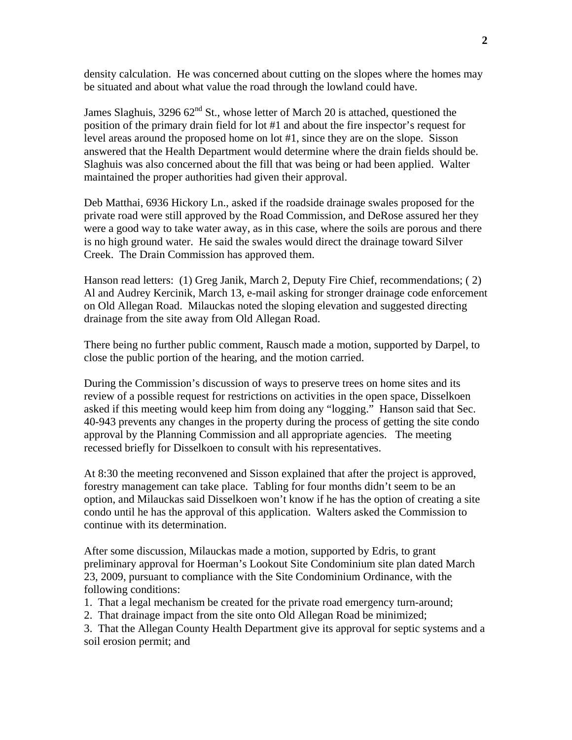density calculation. He was concerned about cutting on the slopes where the homes may be situated and about what value the road through the lowland could have.

James Slaghuis, 3296  $62<sup>nd</sup>$  St., whose letter of March 20 is attached, questioned the position of the primary drain field for lot #1 and about the fire inspector's request for level areas around the proposed home on lot #1, since they are on the slope. Sisson answered that the Health Department would determine where the drain fields should be. Slaghuis was also concerned about the fill that was being or had been applied. Walter maintained the proper authorities had given their approval.

Deb Matthai, 6936 Hickory Ln., asked if the roadside drainage swales proposed for the private road were still approved by the Road Commission, and DeRose assured her they were a good way to take water away, as in this case, where the soils are porous and there is no high ground water. He said the swales would direct the drainage toward Silver Creek. The Drain Commission has approved them.

Hanson read letters: (1) Greg Janik, March 2, Deputy Fire Chief, recommendations; ( 2) Al and Audrey Kercinik, March 13, e-mail asking for stronger drainage code enforcement on Old Allegan Road. Milauckas noted the sloping elevation and suggested directing drainage from the site away from Old Allegan Road.

There being no further public comment, Rausch made a motion, supported by Darpel, to close the public portion of the hearing, and the motion carried.

During the Commission's discussion of ways to preserve trees on home sites and its review of a possible request for restrictions on activities in the open space, Disselkoen asked if this meeting would keep him from doing any "logging." Hanson said that Sec. 40-943 prevents any changes in the property during the process of getting the site condo approval by the Planning Commission and all appropriate agencies. The meeting recessed briefly for Disselkoen to consult with his representatives.

At 8:30 the meeting reconvened and Sisson explained that after the project is approved, forestry management can take place. Tabling for four months didn't seem to be an option, and Milauckas said Disselkoen won't know if he has the option of creating a site condo until he has the approval of this application. Walters asked the Commission to continue with its determination.

After some discussion, Milauckas made a motion, supported by Edris, to grant preliminary approval for Hoerman's Lookout Site Condominium site plan dated March 23, 2009, pursuant to compliance with the Site Condominium Ordinance, with the following conditions:

- 1. That a legal mechanism be created for the private road emergency turn-around;
- 2. That drainage impact from the site onto Old Allegan Road be minimized;
- 3. That the Allegan County Health Department give its approval for septic systems and a soil erosion permit; and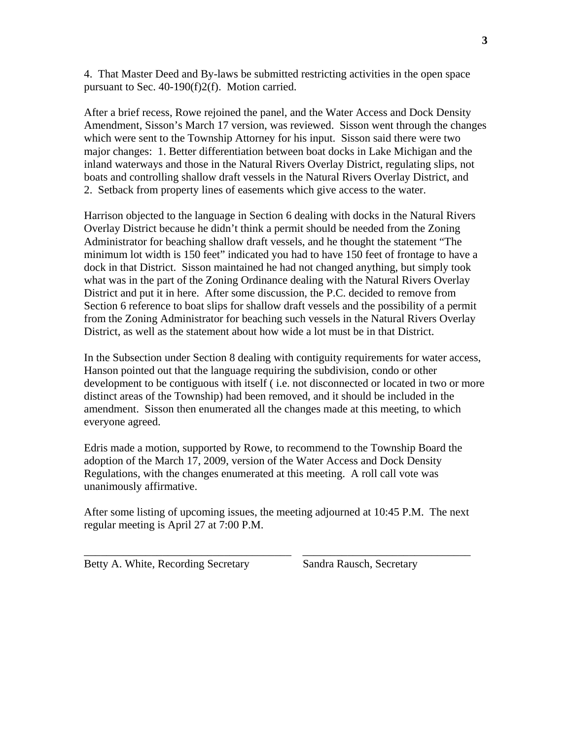4. That Master Deed and By-laws be submitted restricting activities in the open space pursuant to Sec. 40-190(f)2(f). Motion carried.

After a brief recess, Rowe rejoined the panel, and the Water Access and Dock Density Amendment, Sisson's March 17 version, was reviewed. Sisson went through the changes which were sent to the Township Attorney for his input. Sisson said there were two major changes: 1. Better differentiation between boat docks in Lake Michigan and the inland waterways and those in the Natural Rivers Overlay District, regulating slips, not boats and controlling shallow draft vessels in the Natural Rivers Overlay District, and 2. Setback from property lines of easements which give access to the water.

Harrison objected to the language in Section 6 dealing with docks in the Natural Rivers Overlay District because he didn't think a permit should be needed from the Zoning Administrator for beaching shallow draft vessels, and he thought the statement "The minimum lot width is 150 feet" indicated you had to have 150 feet of frontage to have a dock in that District. Sisson maintained he had not changed anything, but simply took what was in the part of the Zoning Ordinance dealing with the Natural Rivers Overlay District and put it in here. After some discussion, the P.C. decided to remove from Section 6 reference to boat slips for shallow draft vessels and the possibility of a permit from the Zoning Administrator for beaching such vessels in the Natural Rivers Overlay District, as well as the statement about how wide a lot must be in that District.

In the Subsection under Section 8 dealing with contiguity requirements for water access, Hanson pointed out that the language requiring the subdivision, condo or other development to be contiguous with itself ( i.e. not disconnected or located in two or more distinct areas of the Township) had been removed, and it should be included in the amendment. Sisson then enumerated all the changes made at this meeting, to which everyone agreed.

Edris made a motion, supported by Rowe, to recommend to the Township Board the adoption of the March 17, 2009, version of the Water Access and Dock Density Regulations, with the changes enumerated at this meeting. A roll call vote was unanimously affirmative.

After some listing of upcoming issues, the meeting adjourned at 10:45 P.M. The next regular meeting is April 27 at 7:00 P.M.

\_\_\_\_\_\_\_\_\_\_\_\_\_\_\_\_\_\_\_\_\_\_\_\_\_\_\_\_\_\_\_\_\_\_\_\_\_ \_\_\_\_\_\_\_\_\_\_\_\_\_\_\_\_\_\_\_\_\_\_\_\_\_\_\_\_\_\_

Betty A. White, Recording Secretary Sandra Rausch, Secretary